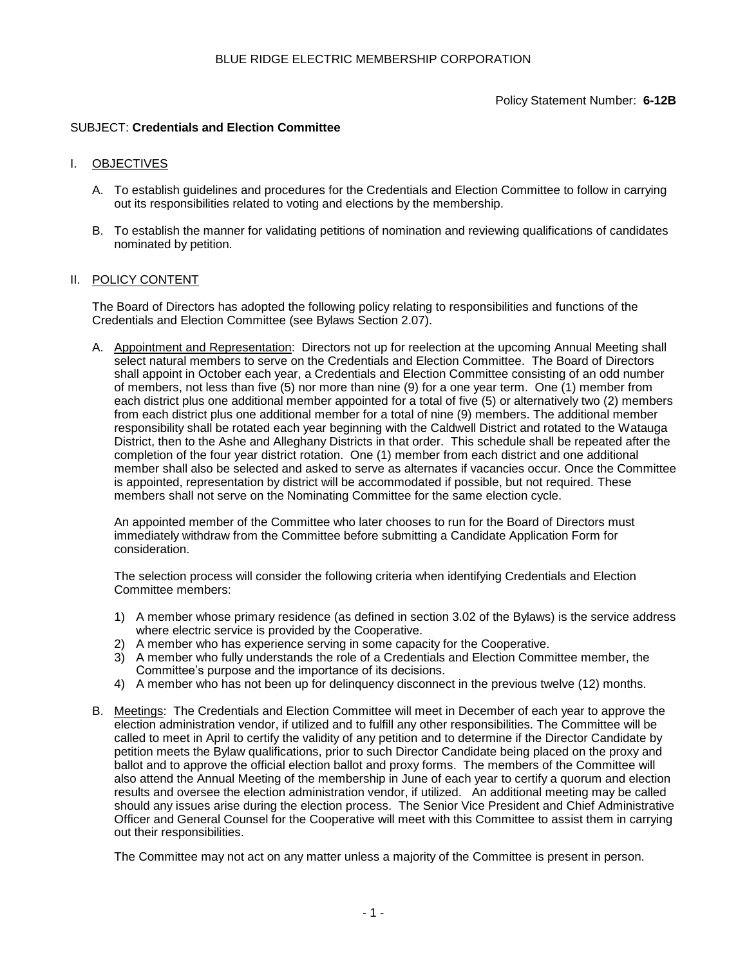## SUBJECT: **Credentials and Election Committee**

### I. OBJECTIVES

- A. To establish guidelines and procedures for the Credentials and Election Committee to follow in carrying out its responsibilities related to voting and elections by the membership.
- B. To establish the manner for validating petitions of nomination and reviewing qualifications of candidates nominated by petition.

#### II. POLICY CONTENT

The Board of Directors has adopted the following policy relating to responsibilities and functions of the Credentials and Election Committee (see Bylaws Section 2.07).

A. Appointment and Representation: Directors not up for reelection at the upcoming Annual Meeting shall select natural members to serve on the Credentials and Election Committee. The Board of Directors shall appoint in October each year, a Credentials and Election Committee consisting of an odd number of members, not less than five (5) nor more than nine (9) for a one year term. One (1) member from each district plus one additional member appointed for a total of five (5) or alternatively two (2) members from each district plus one additional member for a total of nine (9) members. The additional member responsibility shall be rotated each year beginning with the Caldwell District and rotated to the Watauga District, then to the Ashe and Alleghany Districts in that order. This schedule shall be repeated after the completion of the four year district rotation. One (1) member from each district and one additional member shall also be selected and asked to serve as alternates if vacancies occur. Once the Committee is appointed, representation by district will be accommodated if possible, but not required. These members shall not serve on the Nominating Committee for the same election cycle.

An appointed member of the Committee who later chooses to run for the Board of Directors must immediately withdraw from the Committee before submitting a Candidate Application Form for consideration.

The selection process will consider the following criteria when identifying Credentials and Election Committee members:

- 1) A member whose primary residence (as defined in section 3.02 of the Bylaws) is the service address where electric service is provided by the Cooperative.
- 2) A member who has experience serving in some capacity for the Cooperative.
- 3) A member who fully understands the role of a Credentials and Election Committee member, the Committee's purpose and the importance of its decisions.
- 4) A member who has not been up for delinquency disconnect in the previous twelve (12) months.
- B. Meetings: The Credentials and Election Committee will meet in December of each year to approve the election administration vendor, if utilized and to fulfill any other responsibilities. The Committee will be called to meet in April to certify the validity of any petition and to determine if the Director Candidate by petition meets the Bylaw qualifications, prior to such Director Candidate being placed on the proxy and ballot and to approve the official election ballot and proxy forms. The members of the Committee will also attend the Annual Meeting of the membership in June of each year to certify a quorum and election results and oversee the election administration vendor, if utilized. An additional meeting may be called should any issues arise during the election process. The Senior Vice President and Chief Administrative Officer and General Counsel for the Cooperative will meet with this Committee to assist them in carrying out their responsibilities.

The Committee may not act on any matter unless a majority of the Committee is present in person.